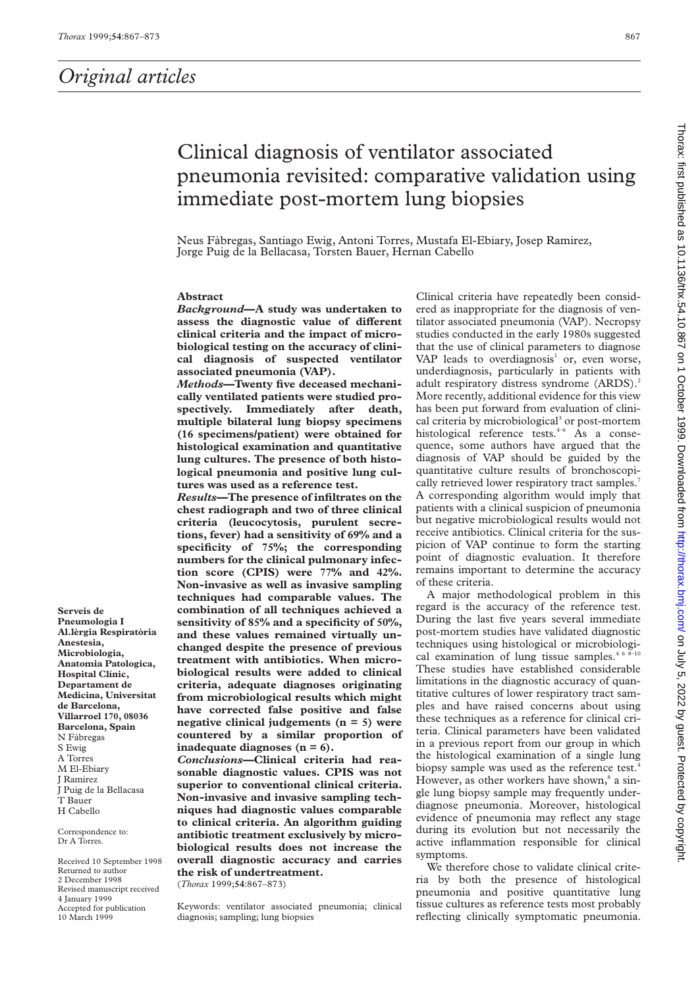# Clinical diagnosis of ventilator associated pneumonia revisited: comparative validation using immediate post-mortem lung biopsies

Neus Fàbregas, Santiago Ewig, Antoni Torres, Mustafa El-Ebiary, Josep Ramirez, Jorge Puig de la Bellacasa, Torsten Bauer, Hernan Cabello

# **Abstract**

*Background***—A study was undertaken to** assess the diagnostic value of different **clinical criteria and the impact of microbiological testing on the accuracy of clinical diagnosis of suspected ventilator associated pneumonia (VAP).**

*Methods***—Twenty five deceased mechanically ventilated patients were studied prospectively. Immediately after death, multiple bilateral lung biopsy specimens (16 specimens/patient) were obtained for histological examination and quantitative lung cultures. The presence of both histological pneumonia and positive lung cultures was used as a reference test.**

*Results***—The presence of infiltrates on the chest radiograph and two of three clinical criteria (leucocytosis, purulent secretions, fever) had a sensitivity of 69% and a specificity of 75%; the corresponding numbers for the clinical pulmonary infection score (CPIS) were 77% and 42%. Non-invasive as well as invasive sampling techniques had comparable values. The combination of all techniques achieved a sensitivity of 85% and a specificity of 50%, and these values remained virtually unchanged despite the presence of previous treatment with antibiotics. When microbiological results were added to clinical criteria, adequate diagnoses originating from microbiological results which might have corrected false positive and false negative clinical judgements (n = 5) were countered by a similar proportion of inadequate diagnoses (n = 6).**

*Conclusions***—Clinical criteria had reasonable diagnostic values. CPIS was not superior to conventional clinical criteria. Non-invasive and invasive sampling techniques had diagnostic values comparable to clinical criteria. An algorithm guiding antibiotic treatment exclusively by microbiological results does not increase the overall diagnostic accuracy and carries the risk of undertreatment.**

(*Thorax* 1999;**54**:867–873)

Keywords: ventilator associated pneumonia; clinical diagnosis; sampling; lung biopsies

Clinical criteria have repeatedly been considered as inappropriate for the diagnosis of ventilator associated pneumonia (VAP). Necropsy studies conducted in the early 1980s suggested that the use of clinical parameters to diagnose VAP leads to overdiagnosis<sup>1</sup> or, even worse, underdiagnosis, particularly in patients with adult respiratory distress syndrome (ARDS).<sup>2</sup> More recently, additional evidence for this view has been put forward from evaluation of clinical criteria by microbiological<sup>3</sup> or post-mortem histological reference tests. $4-6$  As a consequence, some authors have argued that the diagnosis of VAP should be guided by the quantitative culture results of bronchoscopically retrieved lower respiratory tract samples.<sup>7</sup> A corresponding algorithm would imply that patients with a clinical suspicion of pneumonia but negative microbiological results would not receive antibiotics. Clinical criteria for the suspicion of VAP continue to form the starting point of diagnostic evaluation. It therefore remains important to determine the accuracy of these criteria.

A major methodological problem in this regard is the accuracy of the reference test. During the last five years several immediate post-mortem studies have validated diagnostic techniques using histological or microbiological examination of lung tissue samples.<sup>4 6 8-10</sup> These studies have established considerable limitations in the diagnostic accuracy of quantitative cultures of lower respiratory tract samples and have raised concerns about using these techniques as a reference for clinical criteria. Clinical parameters have been validated in a previous report from our group in which the histological examination of a single lung biopsy sample was used as the reference test.<sup>4</sup> However, as other workers have shown, $\delta$  a single lung biopsy sample may frequently underdiagnose pneumonia. Moreover, histological evidence of pneumonia may reflect any stage during its evolution but not necessarily the active inflammation responsible for clinical symptoms.

We therefore chose to validate clinical criteria by both the presence of histological pneumonia and positive quantitative lung tissue cultures as reference tests most probably reflecting clinically symptomatic pneumonia.

**Pneumologia I Al.lèrgia Respiratòria Anestesia, Microbiologia, Anatomia Patologica, Hospital Clínic, Departament de Medicina, Universitat de Barcelona, Villarroel 170, 08036 Barcelona, Spain** N Fàbregas S Ewig A Torres M El-Ebiary J Ramirez J Puig de la Bellacasa T Bauer H Cabello

**Serveis de**

Correspondence to: Dr A Torres.

Received 10 September 1998 Returned to author 2 December 1998 Revised manuscript received 4 January 1999 Accepted for publication 10 March 1999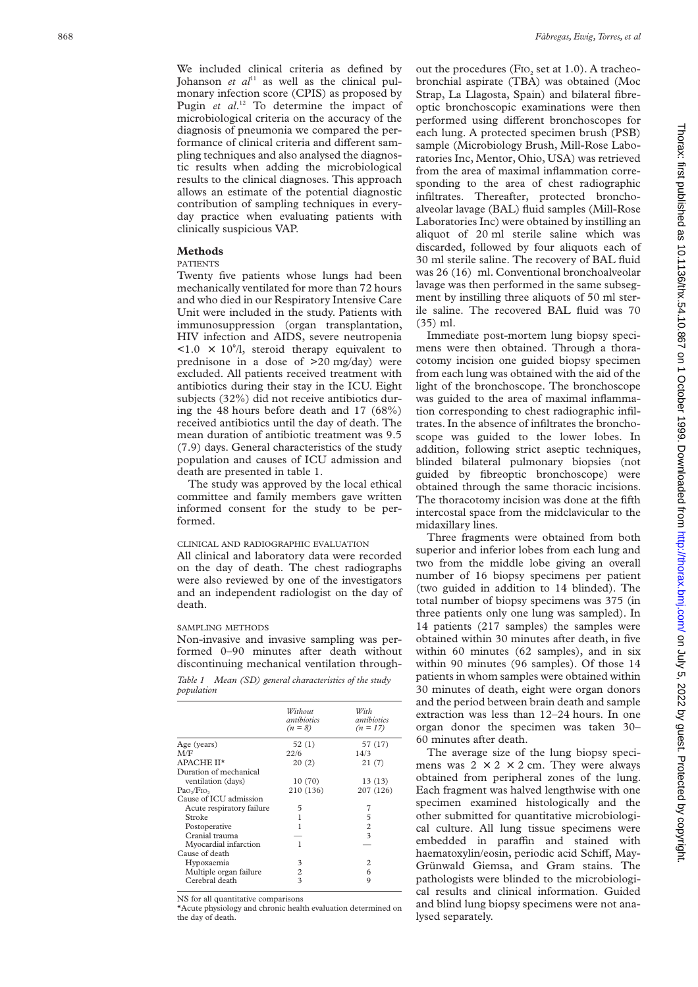We included clinical criteria as defined by Johanson *et al*<sup>11</sup> as well as the clinical pulmonary infection score (CPIS) as proposed by Pugin *et al.*<sup>12</sup> To determine the impact of microbiological criteria on the accuracy of the diagnosis of pneumonia we compared the performance of clinical criteria and different sampling techniques and also analysed the diagnostic results when adding the microbiological results to the clinical diagnoses. This approach allows an estimate of the potential diagnostic contribution of sampling techniques in everyday practice when evaluating patients with clinically suspicious VAP.

#### **Methods**

## PATIENTS

Twenty five patients whose lungs had been mechanically ventilated for more than 72 hours and who died in our Respiratory Intensive Care Unit were included in the study. Patients with immunosuppression (organ transplantation, HIV infection and AIDS, severe neutropenia  $\langle 1.0 \times 10^9 \rangle$ , steroid therapy equivalent to prednisone in a dose of >20 mg/day) were excluded. All patients received treatment with antibiotics during their stay in the ICU. Eight subjects (32%) did not receive antibiotics during the 48 hours before death and 17 (68%) received antibiotics until the day of death. The mean duration of antibiotic treatment was 9.5 (7.9) days. General characteristics of the study population and causes of ICU admission and death are presented in table 1.

The study was approved by the local ethical committee and family members gave written informed consent for the study to be performed.

# CLINICAL AND RADIOGRAPHIC EVALUATION

All clinical and laboratory data were recorded on the day of death. The chest radiographs were also reviewed by one of the investigators and an independent radiologist on the day of death.

#### SAMPLING METHODS

Non-invasive and invasive sampling was performed 0–90 minutes after death without discontinuing mechanical ventilation through-

*Table 1 Mean (SD) general characteristics of the study population*

|                                    | Without<br>antibiotics<br>$(n = 8)$ | With<br>antibiotics<br>$(n = 17)$ |
|------------------------------------|-------------------------------------|-----------------------------------|
| Age (years)                        | 52(1)                               | 57 (17)                           |
| M/F                                | 22/6                                | 14/3                              |
| APACHE II*                         | 20(2)                               | 21(7)                             |
| Duration of mechanical             |                                     |                                   |
| ventilation (days)                 | 10 (70)                             | 13 (13)                           |
| Pao <sub>2</sub> /Fio <sub>2</sub> | 210 (136)                           | 207 (126)                         |
| Cause of ICU admission             |                                     |                                   |
| Acute respiratory failure          | 5                                   | 7                                 |
| Stroke                             | 1                                   | 5                                 |
| Postoperative                      | 1                                   | $\overline{c}$                    |
| Cranial trauma                     |                                     | 3                                 |
| Myocardial infarction              | 1                                   |                                   |
| Cause of death                     |                                     |                                   |
| Hypoxaemia                         | 3                                   | 2                                 |
| Multiple organ failure             | 2                                   | 6                                 |
| Cerebral death                     | 3                                   | 9                                 |
|                                    |                                     |                                   |

NS for all quantitative comparisons

\*Acute physiology and chronic health evaluation determined on the day of death.

out the procedures (FIO<sub>2</sub> set at 1.0). A tracheobronchial aspirate (TBA) was obtained (Moc Strap, La Llagosta, Spain) and bilateral fibreoptic bronchoscopic examinations were then performed using different bronchoscopes for each lung. A protected specimen brush (PSB) sample (Microbiology Brush, Mill-Rose Laboratories Inc, Mentor, Ohio, USA) was retrieved from the area of maximal inflammation corresponding to the area of chest radiographic infiltrates. Thereafter, protected bronchoalveolar lavage (BAL) fluid samples (Mill-Rose Laboratories Inc) were obtained by instilling an aliquot of 20 ml sterile saline which was discarded, followed by four aliquots each of 30 ml sterile saline. The recovery of BAL fluid was 26 (16) ml. Conventional bronchoalveolar lavage was then performed in the same subsegment by instilling three aliquots of 50 ml sterile saline. The recovered BAL fluid was 70 (35) ml.

Immediate post-mortem lung biopsy specimens were then obtained. Through a thoracotomy incision one guided biopsy specimen from each lung was obtained with the aid of the light of the bronchoscope. The bronchoscope was guided to the area of maximal inflammation corresponding to chest radiographic infiltrates. In the absence of infiltrates the bronchoscope was guided to the lower lobes. In addition, following strict aseptic techniques, blinded bilateral pulmonary biopsies (not guided by fibreoptic bronchoscope) were obtained through the same thoracic incisions. The thoracotomy incision was done at the fifth intercostal space from the midclavicular to the midaxillary lines.

Three fragments were obtained from both superior and inferior lobes from each lung and two from the middle lobe giving an overall number of 16 biopsy specimens per patient (two guided in addition to 14 blinded). The total number of biopsy specimens was 375 (in three patients only one lung was sampled). In 14 patients (217 samples) the samples were obtained within 30 minutes after death, in five within 60 minutes (62 samples), and in six within 90 minutes (96 samples). Of those 14 patients in whom samples were obtained within 30 minutes of death, eight were organ donors and the period between brain death and sample extraction was less than 12–24 hours. In one organ donor the specimen was taken 30– 60 minutes after death.

The average size of the lung biopsy specimens was  $2 \times 2 \times 2$  cm. They were always obtained from peripheral zones of the lung. Each fragment was halved lengthwise with one specimen examined histologically and the other submitted for quantitative microbiological culture. All lung tissue specimens were embedded in paraffin and stained with haematoxylin/eosin, periodic acid Schiff, May-Grünwald Giemsa, and Gram stains. The pathologists were blinded to the microbiological results and clinical information. Guided and blind lung biopsy specimens were not analysed separately.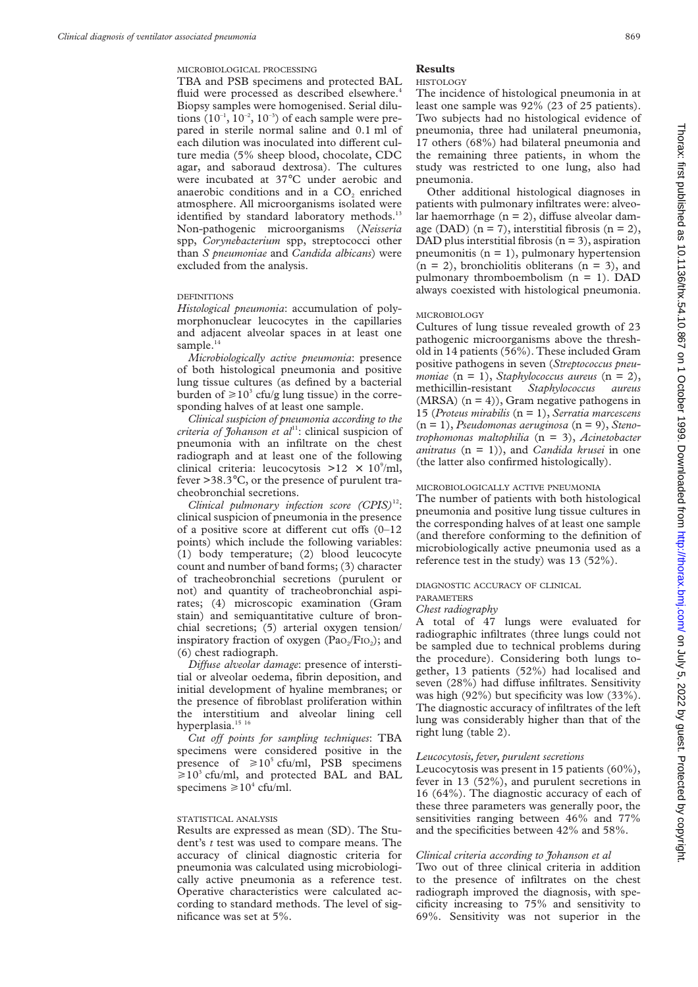#### MICROBIOLOGICAL PROCESSING

TBA and PSB specimens and protected BAL fluid were processed as described elsewhere.<sup>4</sup> Biopsy samples were homogenised. Serial dilutions  $(10^{-1}, 10^{-2}, 10^{-3})$  of each sample were prepared in sterile normal saline and 0.1 ml of each dilution was inoculated into different culture media (5% sheep blood, chocolate, CDC agar, and saboraud dextrosa). The cultures were incubated at 37°C under aerobic and anaerobic conditions and in a CO<sub>2</sub> enriched atmosphere. All microorganisms isolated were identified by standard laboratory methods.<sup>13</sup> Non-pathogenic microorganisms (*Neisseria* spp, *Corynebacterium* spp, streptococci other than *S pneumoniae* and *Candida albicans*) were excluded from the analysis.

# DEFINITIONS

*Histological pneumonia*: accumulation of polymorphonuclear leucocytes in the capillaries and adjacent alveolar spaces in at least one sample. $14$ 

*Microbiologically active pneumonia*: presence of both histological pneumonia and positive lung tissue cultures (as defined by a bacterial burden of  $\geq 10^3$  cfu/g lung tissue) in the corresponding halves of at least one sample.

*Clinical suspicion of pneumonia according to the criteria of Johanson et al*<sup>11</sup>: clinical suspicion of pneumonia with an infiltrate on the chest radiograph and at least one of the following clinical criteria: leucocytosis >12  $\times$  10<sup>9</sup>/ml, fever >38.3°C, or the presence of purulent tracheobronchial secretions.

*Clinical pulmonary infection score (CPIS)*12: clinical suspicion of pneumonia in the presence of a positive score at different cut offs  $(0-12)$ points) which include the following variables: (1) body temperature; (2) blood leucocyte count and number of band forms; (3) character of tracheobronchial secretions (purulent or not) and quantity of tracheobronchial aspirates; (4) microscopic examination (Gram stain) and semiquantitative culture of bronchial secretions; (5) arterial oxygen tension/ inspiratory fraction of oxygen  $(Pao/Fio<sub>2</sub>)$ ; and (6) chest radiograph.

*Diffuse alveolar damage*: presence of interstitial or alveolar oedema, fibrin deposition, and initial development of hyaline membranes; or the presence of fibroblast proliferation within the interstitium and alveolar lining cell hyperplasia.<sup>15 16</sup>

*Cut off points for sampling techniques:* TBA specimens were considered positive in the presence of  $\geq 10^5$  cfu/ml, PSB specimens  $\geq 10^3$  cfu/ml, and protected BAL and BAL specimens  $\geq 10^4$  cfu/ml.

#### STATISTICAL ANALYSIS

Results are expressed as mean (SD). The Student's *t* test was used to compare means. The accuracy of clinical diagnostic criteria for pneumonia was calculated using microbiologically active pneumonia as a reference test. Operative characteristics were calculated according to standard methods. The level of significance was set at 5%.

#### **Results**

#### HISTOLOGY

The incidence of histological pneumonia in at least one sample was 92% (23 of 25 patients). Two subjects had no histological evidence of pneumonia, three had unilateral pneumonia, 17 others (68%) had bilateral pneumonia and the remaining three patients, in whom the study was restricted to one lung, also had pneumonia.

Other additional histological diagnoses in patients with pulmonary infiltrates were: alveolar haemorrhage  $(n = 2)$ , diffuse alveolar damage (DAD)  $(n = 7)$ , interstitial fibrosis  $(n = 2)$ , DAD plus interstitial fibrosis  $(n = 3)$ , aspiration pneumonitis  $(n = 1)$ , pulmonary hypertension  $(n = 2)$ , bronchiolitis obliterans  $(n = 3)$ , and pulmonary thromboembolism  $(n = 1)$ . DAD always coexisted with histological pneumonia.

## MICROBIOLOGY

Cultures of lung tissue revealed growth of 23 pathogenic microorganisms above the threshold in 14 patients (56%). These included Gram positive pathogens in seven (*Streptococcus pneumoniae* (n = 1), *Staphylococcus aureus* (n = 2), methicillin-resistant *Staphylococcus aureus*  $(MRSA)$  (n = 4)), Gram negative pathogens in 15 (*Proteus mirabilis* (n = 1), *Serratia marcescens* (n = 1), *Pseudomonas aeruginosa* (n = 9), *Stenotrophomonas maltophilia* (n = 3), *Acinetobacter anitratus* (n = 1)), and *Candida krusei* in one (the latter also confirmed histologically).

#### MICROBIOLOGICALLY ACTIVE PNEUMONIA

The number of patients with both histological pneumonia and positive lung tissue cultures in the corresponding halves of at least one sample (and therefore conforming to the definition of microbiologically active pneumonia used as a reference test in the study) was 13 (52%).

# DIAGNOSTIC ACCURACY OF CLINICAL

# PARAMETERS

# *Chest radiography*

A total of 47 lungs were evaluated for radiographic infiltrates (three lungs could not be sampled due to technical problems during the procedure). Considering both lungs together, 13 patients (52%) had localised and seven (28%) had diffuse infiltrates. Sensitivity was high (92%) but specificity was low (33%). The diagnostic accuracy of infiltrates of the left lung was considerably higher than that of the right lung (table 2).

#### *Leucocytosis, fever, purulent secretions*

Leucocytosis was present in 15 patients (60%), fever in 13 (52%), and purulent secretions in 16 (64%). The diagnostic accuracy of each of these three parameters was generally poor, the sensitivities ranging between 46% and 77% and the specificities between 42% and 58%.

## *Clinical criteria according to Johanson et al*

Two out of three clinical criteria in addition to the presence of infiltrates on the chest radiograph improved the diagnosis, with specificity increasing to 75% and sensitivity to 69%. Sensitivity was not superior in the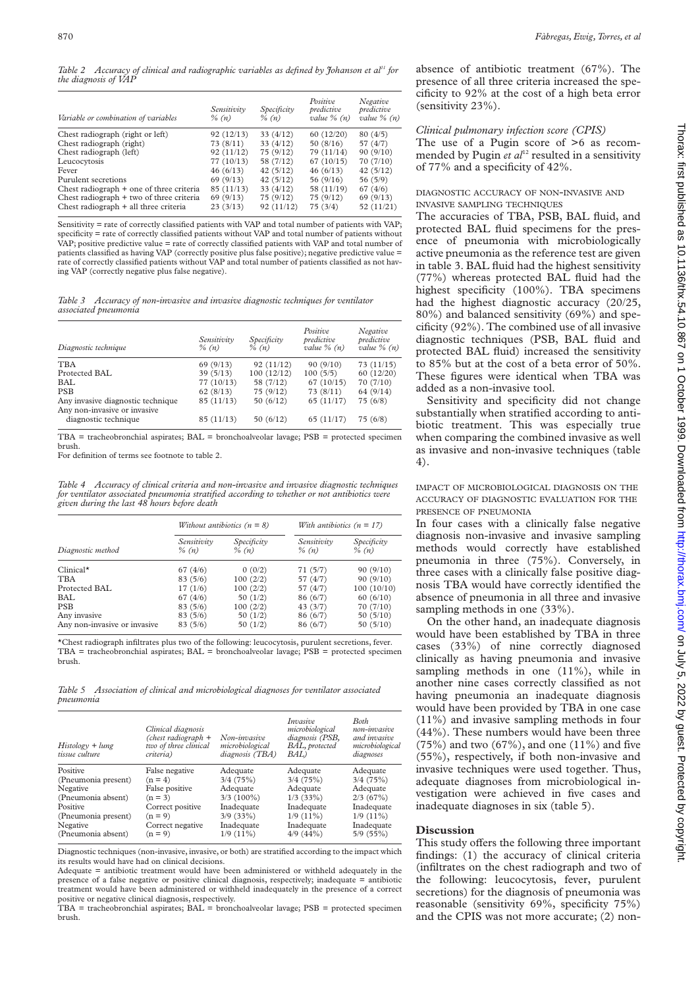*Table 2 Accuracy of clinical and radiographic variables as defined by Johanson et al11 for the diagnosis of VAP*

| Variable or combination of variables     | Sensitivity<br>$\%$ (n) | Specificity<br>$\%$ $(n)$ | Positive<br>predictive<br>value $\%$ (n) | Negative<br>predictive<br>value $\%$ (n) |
|------------------------------------------|-------------------------|---------------------------|------------------------------------------|------------------------------------------|
| Chest radiograph (right or left)         | 92(12/13)               | 33(4/12)                  | 60(12/20)                                | 80(4/5)                                  |
| Chest radiograph (right)                 | 73(8/11)                | 33(4/12)                  | 50(8/16)                                 | 57 (4/7)                                 |
| Chest radiograph (left)                  | 92(11/12)               | 75(9/12)                  | 79 (11/14)                               | 90(9/10)                                 |
| Leucocytosis                             | 77(10/13)               | 58 (7/12)                 | 67(10/15)                                | 70(7/10)                                 |
| Fever                                    | 46(6/13)                | 42(5/12)                  | 46(6/13)                                 | 42(5/12)                                 |
| Purulent secretions                      | 69(9/13)                | 42(5/12)                  | 56(9/16)                                 | 56 (5/9)                                 |
| Chest radiograph + one of three criteria | 85(11/13)               | 33(4/12)                  | 58 (11/19)                               | 67(4/6)                                  |
| Chest radiograph + two of three criteria | 69(9/13)                | 75(9/12)                  | 75(9/12)                                 | 69(9/13)                                 |
| Chest radiograph + all three criteria    | 23(3/13)                | 92(11/12)                 | 75(3/4)                                  | 52 (11/21)                               |

Sensitivity = rate of correctly classified patients with VAP and total number of patients with VAP; specificity = rate of correctly classified patients without VAP and total number of patients without VAP; positive predictive value = rate of correctly classified patients with VAP and total number of patients classified as having VAP (correctly positive plus false positive); negative predictive value = rate of correctly classified patients without VAP and total number of patients classified as not having VAP (correctly negative plus false negative).

*Table 3 Accuracy of non-invasive and invasive diagnostic techniques for ventilator associated pneumonia*

| Diagnostic technique                                              | Sensitivity<br>$\%$ (n) | Specificity<br>$\%$ (n) | Positive<br>predictive<br>value $\%$ (n) | Negative<br>predictive<br>value $\%$ (n) |
|-------------------------------------------------------------------|-------------------------|-------------------------|------------------------------------------|------------------------------------------|
| <b>TBA</b>                                                        | 69(9/13)                | 92(11/12)               | 90(9/10)                                 | 73(11/15)                                |
| Protected BAL                                                     | 39(5/13)                | 100(12/12)              | 100(5/5)                                 | 60(12/20)                                |
| <b>BAL</b>                                                        | 77(10/13)               | 58 (7/12)               | 67(10/15)                                | 70(7/10)                                 |
| <b>PSB</b>                                                        | 62(8/13)                | 75(9/12)                | 73(8/11)                                 | 64(9/14)                                 |
| Any invasive diagnostic technique<br>Any non-invasive or invasive | 85(11/13)               | 50(6/12)                | 65(11/17)                                | 75(6/8)                                  |
| diagnostic technique                                              | 85(11/13)               | 50(6/12)                | 65(11/17)                                | 75(6/8)                                  |

TBA = tracheobronchial aspirates; BAL = bronchoalveolar lavage; PSB = protected specimen brush.

For definition of terms see footnote to table 2.

*Table 4 Accuracy of clinical criteria and non-invasive and invasive diagnostic techniques for ventilator associated pneumonia stratified according to whether or not antibiotics were given during the last 48 hours before death*

|                              | Without antibiotics $(n = 8)$ |                         |                        | With antibiotics $(n = 17)$ |  |
|------------------------------|-------------------------------|-------------------------|------------------------|-----------------------------|--|
| Diagnostic method            | Sensitivity<br>$\%$ (n)       | Specificity<br>$\%$ (n) | Sensitivity<br>% $(n)$ | Specificity<br>$\%$ (n)     |  |
| $Clinical*$                  | 67(4/6)                       | 0(0/2)                  | 71(5/7)                | 90(9/10)                    |  |
| <b>TBA</b>                   | 83(5/6)                       | 100(2/2)                | 57 $(4/7)$             | 90(9/10)                    |  |
| Protected BAL                | 17(1/6)                       | 100(2/2)                | 57 $(4/7)$             | 100(10/10)                  |  |
| BAL                          | 67(4/6)                       | 50(1/2)                 | 86 (6/7)               | 60(6/10)                    |  |
| <b>PSB</b>                   | 83(5/6)                       | 100(2/2)                | 43(3/7)                | 70(7/10)                    |  |
| Any invasive                 | 83(5/6)                       | 50(1/2)                 | 86(6/7)                | 50(5/10)                    |  |
| Any non-invasive or invasive | 83(5/6)                       | 50(1/2)                 | 86(6/7)                | 50(5/10)                    |  |

\*Chest radiograph infiltrates plus two of the following: leucocytosis, purulent secretions, fever. TBA = tracheobronchial aspirates; BAL = bronchoalveolar lavage; PSB = protected specimen brush.

*Table 5 Association of clinical and microbiological diagnoses for ventilator associated pneumonia*

| $History + lung$<br>tissue culture | Clinical diagnosis<br>(chest radiograph $+$<br>two of three clinical<br>criteria) | Non-invasive<br>microbiological<br>diagnosis (TBA) | <i>Invasive</i><br>microbiological<br>diagnosis (PSB,<br>BAL, protected<br>BAL) | Both<br>non-invasive<br>and invasive<br>microbiological<br>diagnoses |
|------------------------------------|-----------------------------------------------------------------------------------|----------------------------------------------------|---------------------------------------------------------------------------------|----------------------------------------------------------------------|
| Positive                           | False negative                                                                    | Adequate                                           | Adequate                                                                        | Adequate                                                             |
| (Pneumonia present)                | $(n = 4)$                                                                         | 3/4(75%)                                           | 3/4(75%)                                                                        | 3/4(75%)                                                             |
| Negative                           | False positive                                                                    | Adequate                                           | Adequate                                                                        | Adequate                                                             |
| (Pneumonia absent)                 | $(n = 3)$                                                                         | $3/3(100\%)$                                       | $1/3$ (33%)                                                                     | 2/3(67%)                                                             |
| Positive                           | Correct positive                                                                  | Inadequate                                         | Inadequate                                                                      | Inadequate                                                           |
| (Pneumonia present)                | $(n = 9)$                                                                         | $3/9(33\%)$                                        | $1/9(11\%)$                                                                     | $1/9(11\%)$                                                          |
| Negative                           | Correct negative                                                                  | Inadequate                                         | Inadequate                                                                      | Inadequate                                                           |
| (Pneumonia absent)                 | $(n = 9)$                                                                         | $1/9(11\%)$                                        | 4/9(44%)                                                                        | 5/9(55%)                                                             |

Diagnostic techniques (non-invasive, invasive, or both) are stratified according to the impact which its results would have had on clinical decisions.

Adequate = antibiotic treatment would have been administered or withheld adequately in the presence of a false negative or positive clinical diagnosis, respectively; inadequate = antibiotic treatment would have been administered or withheld inadequately in the presence of a correct positive or negative clinical diagnosis, respectively.

TBA = tracheobronchial aspirates; BAL = bronchoalveolar lavage; PSB = protected specimen brush.

absence of antibiotic treatment (67%). The presence of all three criteria increased the specificity to 92% at the cost of a high beta error (sensitivity 23%).

# *Clinical pulmonary infection score (CPIS)*

The use of a Pugin score of  $>6$  as recommended by Pugin *et al*<sup>12</sup> resulted in a sensitivity of 77% and a specificity of 42%.

## DIAGNOSTIC ACCURACY OF NON-INVASIVE AND INVASIVE SAMPLING TECHNIQUES

The accuracies of TBA, PSB, BAL fluid, and protected BAL fluid specimens for the presence of pneumonia with microbiologically active pneumonia as the reference test are given in table 3. BAL fluid had the highest sensitivity (77%) whereas protected BAL fluid had the highest specificity (100%). TBA specimens had the highest diagnostic accuracy (20/25, 80%) and balanced sensitivity (69%) and specificity (92%). The combined use of all invasive diagnostic techniques (PSB, BAL fluid and protected BAL fluid) increased the sensitivity to 85% but at the cost of a beta error of 50%. These figures were identical when TBA was added as a non-invasive tool.

Sensitivity and specificity did not change substantially when stratified according to antibiotic treatment. This was especially true when comparing the combined invasive as well as invasive and non-invasive techniques (table 4).

IMPACT OF MICROBIOLOGICAL DIAGNOSIS ON THE ACCURACY OF DIAGNOSTIC EVALUATION FOR THE PRESENCE OF PNEUMONIA

In four cases with a clinically false negative diagnosis non-invasive and invasive sampling methods would correctly have established pneumonia in three (75%). Conversely, in three cases with a clinically false positive diagnosis TBA would have correctly identified the absence of pneumonia in all three and invasive sampling methods in one (33%).

On the other hand, an inadequate diagnosis would have been established by TBA in three cases (33%) of nine correctly diagnosed clinically as having pneumonia and invasive sampling methods in one  $(11\%)$ , while in another nine cases correctly classified as not having pneumonia an inadequate diagnosis would have been provided by TBA in one case (11%) and invasive sampling methods in four (44%). These numbers would have been three  $(75%)$  and two  $(67%)$ , and one  $(11%)$  and five (55%), respectively, if both non-invasive and invasive techniques were used together. Thus, adequate diagnoses from microbiological investigation were achieved in five cases and inadequate diagnoses in six (table 5).

# **Discussion**

This study offers the following three important findings: (1) the accuracy of clinical criteria (infiltrates on the chest radiograph and two of the following: leucocytosis, fever, purulent secretions) for the diagnosis of pneumonia was reasonable (sensitivity 69%, specificity 75%) and the CPIS was not more accurate; (2) non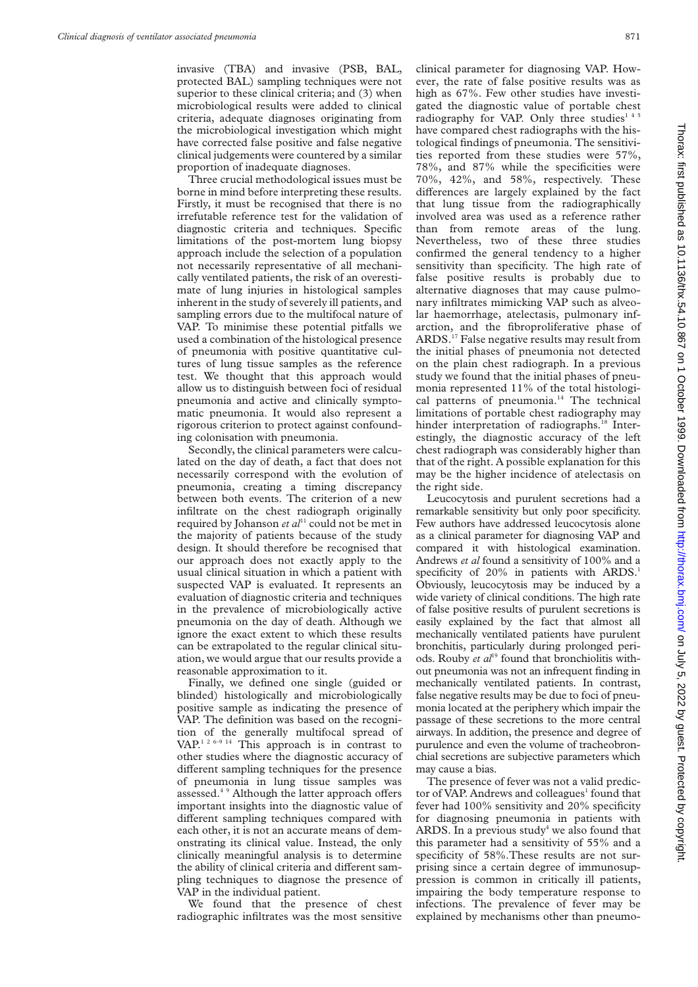invasive (TBA) and invasive (PSB, BAL, protected BAL) sampling techniques were not superior to these clinical criteria; and (3) when microbiological results were added to clinical criteria, adequate diagnoses originating from the microbiological investigation which might have corrected false positive and false negative clinical judgements were countered by a similar proportion of inadequate diagnoses.

Three crucial methodological issues must be borne in mind before interpreting these results. Firstly, it must be recognised that there is no irrefutable reference test for the validation of diagnostic criteria and techniques. Specific limitations of the post-mortem lung biopsy approach include the selection of a population not necessarily representative of all mechanically ventilated patients, the risk of an overestimate of lung injuries in histological samples inherent in the study of severely ill patients, and sampling errors due to the multifocal nature of VAP. To minimise these potential pitfalls we used a combination of the histological presence of pneumonia with positive quantitative cultures of lung tissue samples as the reference test. We thought that this approach would allow us to distinguish between foci of residual pneumonia and active and clinically symptomatic pneumonia. It would also represent a rigorous criterion to protect against confounding colonisation with pneumonia.

Secondly, the clinical parameters were calculated on the day of death, a fact that does not necessarily correspond with the evolution of pneumonia, creating a timing discrepancy between both events. The criterion of a new infiltrate on the chest radiograph originally required by Johanson *et al*<sup>11</sup> could not be met in the majority of patients because of the study design. It should therefore be recognised that our approach does not exactly apply to the usual clinical situation in which a patient with suspected VAP is evaluated. It represents an evaluation of diagnostic criteria and techniques in the prevalence of microbiologically active pneumonia on the day of death. Although we ignore the exact extent to which these results can be extrapolated to the regular clinical situation, we would argue that our results provide a reasonable approximation to it.

Finally, we defined one single (guided or blinded) histologically and microbiologically positive sample as indicating the presence of VAP. The definition was based on the recognition of the generally multifocal spread of VAP.<sup>1 2 6-9 14</sup> This approach is in contrast to other studies where the diagnostic accuracy of different sampling techniques for the presence of pneumonia in lung tissue samples was assessed.<sup>4</sup> 9 Although the latter approach offers important insights into the diagnostic value of different sampling techniques compared with each other, it is not an accurate means of demonstrating its clinical value. Instead, the only clinically meaningful analysis is to determine the ability of clinical criteria and different sampling techniques to diagnose the presence of VAP in the individual patient.

We found that the presence of chest radiographic infiltrates was the most sensitive

clinical parameter for diagnosing VAP. However, the rate of false positive results was as high as 67%. Few other studies have investigated the diagnostic value of portable chest radiography for VAP. Only three studies<sup>145</sup> have compared chest radiographs with the histological findings of pneumonia. The sensitivities reported from these studies were 57%, 78%, and 87% while the specificities were 70%, 42%, and 58%, respectively. These differences are largely explained by the fact that lung tissue from the radiographically involved area was used as a reference rather than from remote areas of the lung. Nevertheless, two of these three studies confirmed the general tendency to a higher sensitivity than specificity. The high rate of false positive results is probably due to alternative diagnoses that may cause pulmonary infiltrates mimicking VAP such as alveolar haemorrhage, atelectasis, pulmonary infarction, and the fibroproliferative phase of ARDS.17 False negative results may result from the initial phases of pneumonia not detected on the plain chest radiograph. In a previous study we found that the initial phases of pneumonia represented 11% of the total histological patterns of pneumonia.<sup>14</sup> The technical limitations of portable chest radiography may hinder interpretation of radiographs.<sup>18</sup> Interestingly, the diagnostic accuracy of the left chest radiograph was considerably higher than that of the right. A possible explanation for this may be the higher incidence of atelectasis on the right side.

Leucocytosis and purulent secretions had a remarkable sensitivity but only poor specificity. Few authors have addressed leucocytosis alone as a clinical parameter for diagnosing VAP and compared it with histological examination. Andrews *et al* found a sensitivity of 100% and a specificity of  $20\%$  in patients with ARDS.<sup>1</sup> Obviously, leucocytosis may be induced by a wide variety of clinical conditions. The high rate of false positive results of purulent secretions is easily explained by the fact that almost all mechanically ventilated patients have purulent bronchitis, particularly during prolonged periods. Rouby *et al*<sup>19</sup> found that bronchiolitis without pneumonia was not an infrequent finding in mechanically ventilated patients. In contrast, false negative results may be due to foci of pneumonia located at the periphery which impair the passage of these secretions to the more central airways. In addition, the presence and degree of purulence and even the volume of tracheobronchial secretions are subjective parameters which may cause a bias.

The presence of fever was not a valid predictor of VAP. Andrews and colleagues<sup>1</sup> found that fever had 100% sensitivity and 20% specificity for diagnosing pneumonia in patients with ARDS. In a previous study<sup>4</sup> we also found that this parameter had a sensitivity of 55% and a specificity of 58%.These results are not surprising since a certain degree of immunosuppression is common in critically ill patients, impairing the body temperature response to infections. The prevalence of fever may be explained by mechanisms other than pneumo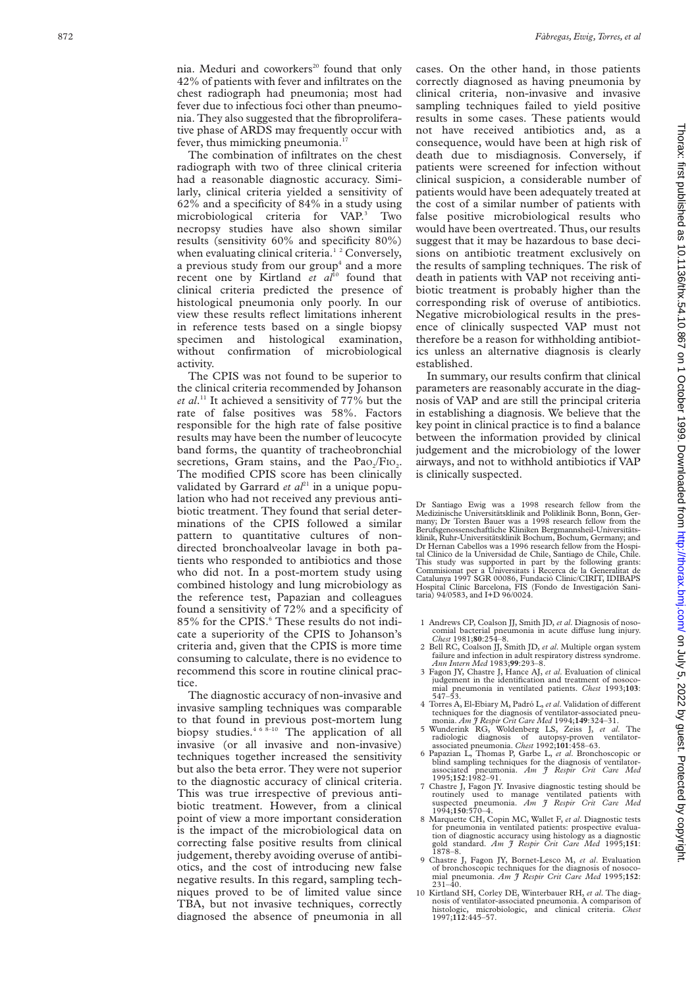nia. Meduri and coworkers<sup>20</sup> found that only 42% of patients with fever and infiltrates on the chest radiograph had pneumonia; most had fever due to infectious foci other than pneumonia. They also suggested that the fibroproliferative phase of ARDS may frequently occur with fever, thus mimicking pneumonia.<sup>17</sup>

The combination of infiltrates on the chest radiograph with two of three clinical criteria had a reasonable diagnostic accuracy. Similarly, clinical criteria yielded a sensitivity of 62% and a specificity of 84% in a study using microbiological criteria for VAP.<sup>3</sup> Two necropsy studies have also shown similar results (sensitivity 60% and specificity 80%) when evaluating clinical criteria.<sup>12</sup> Conversely, a previous study from our group<sup>4</sup> and a more recent one by Kirtland *et al*<sup>10</sup> found that clinical criteria predicted the presence of histological pneumonia only poorly. In our view these results reflect limitations inherent in reference tests based on a single biopsy specimen and histological examination, without confirmation of microbiological activity.

The CPIS was not found to be superior to the clinical criteria recommended by Johanson *et al*. <sup>11</sup> It achieved a sensitivity of 77% but the rate of false positives was 58%. Factors responsible for the high rate of false positive results may have been the number of leucocyte band forms, the quantity of tracheobronchial secretions, Gram stains, and the  $PaO<sub>2</sub>/FIO<sub>2</sub>$ . The modified CPIS score has been clinically validated by Garrard *et*  $aI^{21}$  in a unique population who had not received any previous antibiotic treatment. They found that serial determinations of the CPIS followed a similar pattern to quantitative cultures of nondirected bronchoalveolar lavage in both patients who responded to antibiotics and those who did not. In a post-mortem study using combined histology and lung microbiology as the reference test, Papazian and colleagues found a sensitivity of 72% and a specificity of 85% for the CPIS.<sup>6</sup> These results do not indicate a superiority of the CPIS to Johanson's criteria and, given that the CPIS is more time consuming to calculate, there is no evidence to recommend this score in routine clinical practice.

The diagnostic accuracy of non-invasive and invasive sampling techniques was comparable to that found in previous post-mortem lung biopsy studies.<sup>468-10</sup> The application of all invasive (or all invasive and non-invasive) techniques together increased the sensitivity but also the beta error. They were not superior to the diagnostic accuracy of clinical criteria. This was true irrespective of previous antibiotic treatment. However, from a clinical point of view a more important consideration is the impact of the microbiological data on correcting false positive results from clinical judgement, thereby avoiding overuse of antibiotics, and the cost of introducing new false negative results. In this regard, sampling techniques proved to be of limited value since TBA, but not invasive techniques, correctly diagnosed the absence of pneumonia in all

cases. On the other hand, in those patients correctly diagnosed as having pneumonia by clinical criteria, non-invasive and invasive sampling techniques failed to yield positive results in some cases. These patients would not have received antibiotics and, as a consequence, would have been at high risk of death due to misdiagnosis. Conversely, if patients were screened for infection without clinical suspicion, a considerable number of patients would have been adequately treated at the cost of a similar number of patients with false positive microbiological results who would have been overtreated. Thus, our results suggest that it may be hazardous to base decisions on antibiotic treatment exclusively on the results of sampling techniques. The risk of death in patients with VAP not receiving antibiotic treatment is probably higher than the corresponding risk of overuse of antibiotics. Negative microbiological results in the presence of clinically suspected VAP must not therefore be a reason for withholding antibiotics unless an alternative diagnosis is clearly established.

In summary, our results confirm that clinical parameters are reasonably accurate in the diagnosis of VAP and are still the principal criteria in establishing a diagnosis. We believe that the key point in clinical practice is to find a balance between the information provided by clinical judgement and the microbiology of the lower airways, and not to withhold antibiotics if VAP is clinically suspected.

Dr Santiago Ewig was a 1998 research fellow from the Medizinische Universitätsklinik and Poliklinik Bonn, Bonn, Germany; Dr Torsten Bauer was a 1998 research fellow from the Berufsgenossenschaftliche Kliniken Bergmannsheil-Universitätsklinik, Ruhr-Universitätsklinik Bochum, Bochum, Germany; and Dr Hernan Cabellos was a 1996 research fellow from the Hospital Clínico de la Universidad de Chile, Santiago de Chile, Chile. This study was supported in part by the following grants: Commisionat per a Universitats i Recerca de la Generalitat de Catalunya 1997 SGR 00086, Fundació Clínic/CIRIT, IDIBAPS Hospital Clínic Barcelona, FIS (Fondo de Investigación Sani-taria) 94/0583, and I+D 96/0024.

- 1 Andrews CP, Coalson JJ, Smith JD, *et al*. Diagnosis of nosocomial bacterial pneumonia in acute diffuse lung injury.  $Check \, 1981 \, 80.254 - 8.$
- 2 Bell RC, Coalson JJ, Smith JD, *et al*. Multiple organ system failure and infection in adult respiratory distress syndrome. *Ann Intern Med* 1983;**99**:293–8.
- 3 Fagon JY, Chastre J, Hance AJ, *et al*. Evaluation of clinical judgement in the identification and treatment of nosocomial pneumonia in ventilated patients. *Chest* 1993;**103**: 547–53.
- 4 Torres A, El-Ebiary M, Padró L, *et al*. Validation of different techniques for the diagnosis of ventilator-associated pneu-
- monia. *Am J Respir Crit Care Med* 1994;**149**:324–31. 5 Wunderink RG, Woldenberg LS, Zeiss J, *et al*. The radiologic diagnosis of autopsy-proven ventilator-associated pneumonia. *Chest* 1992;**101**:458–63.
- 6 Papazian L, Thomas P, Garbe L, *et al*. Bronchoscopic or blind sampling techniques for the diagnosis of ventilator-associated pneumonia.  $Am \tT$  Respir Crit Care Mea pneumonia. *Am J Respir Crit Care Med* 1995;**152**:1982–91.
- 7 Chastre J, Fagon JY. Invasive diagnostic testing should be routinely used to manage ventilated patients with suspected pneumonia. *Am J Respir Crit Care Med* 1994;**150**:570–4.
- 8 Marquette CH, Copin MC, Wallet F, *et al*. Diagnostic tests for pneumonia in ventilated patients: prospective evalua-tion of diagnostic accuracy using histology as a diagnostic gold standard. *Am J Respir Crit Care Med* 1995;**151**: 1878–8.
- 9 Chastre J, Fagon JY, Bornet-Lesco M, *et al*. Evaluation of bronchoscopic techniques for the diagnosis of nosoco-mial pneumonia. *Am J Respir Crit Care Med* 1995;**152**: 231–40.
- 10 Kirtland SH, Corley DE, Winterbauer RH, *et al*. The diagnosis of ventilator-associated pneumonia. A comparison of histologic, microbiologic, and clinical criteria. *Chest* 1997;**112**:445–57.